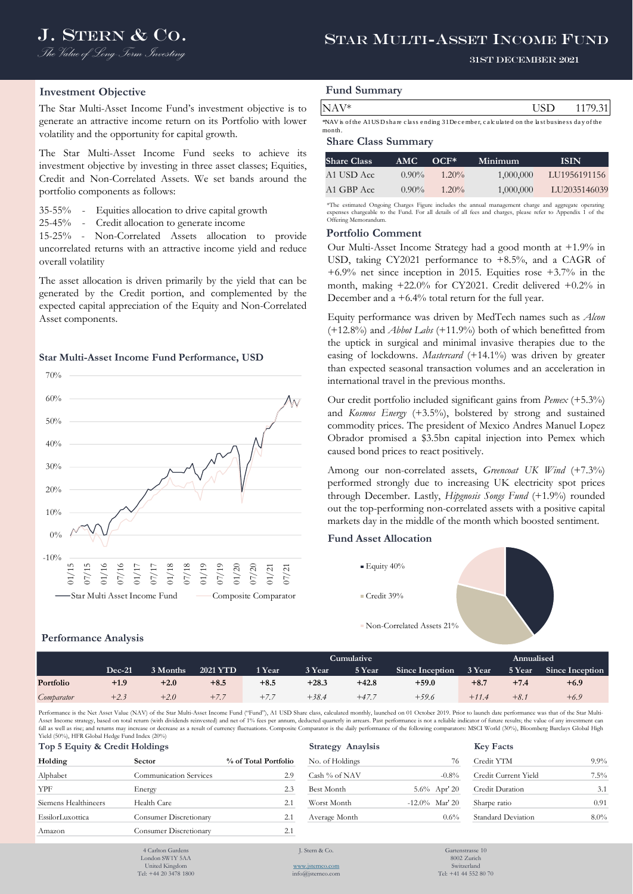# J. STERN & CO. STAR MULTI-ASSET INCOME FUND

#### 31st December 2021

## **Investment Objective**

The Star Multi-Asset Income Fund's investment objective is to generate an attractive income return on its Portfolio with lower volatility and the opportunity for capital growth.

The Star Multi-Asset Income Fund seeks to achieve its investment objective by investing in three asset classes; Equities, Credit and Non-Correlated Assets. We set bands around the portfolio components as follows:

35-55% - Equities allocation to drive capital growth

25-45% - Credit allocation to generate income

15-25% - Non-Correlated Assets allocation to provide uncorrelated returns with an attractive income yield and reduce overall volatility

The asset allocation is driven primarily by the yield that can be generated by the Credit portion, and complemented by the expected capital appreciation of the Equity and Non-Correlated Asset components.

#### **Star Multi-Asset Income Fund Performance, USD**



# **Performance Analysis**

|  | <b>Fund Summary</b> |
|--|---------------------|
|--|---------------------|

| $NAV*$                                                                                          | -HSD. | 1179.31 |
|-------------------------------------------------------------------------------------------------|-------|---------|
| *NAV is of the AlUSD share class ending 31 December, calculated on the last business day of the |       |         |

month.

# **Share Class Summary**

| <b>Share Class</b> | AMC.     | $OCF^*$  | Minimum   | -ISIN        |
|--------------------|----------|----------|-----------|--------------|
| A1 USD Acc.        | $0.90\%$ | $1.20\%$ | 1,000,000 | LU1956191156 |
| A1 GBP Acc         | $0.90\%$ | $1.20\%$ | 1,000,000 | LU2035146039 |

\*The estimated Ongoing Charges Figure includes the annual management charge and aggregate operating expenses chargeable to the Fund. For all details of all fees and charges, please refer to Appendix 1 of the Offering Memorandu

#### **Portfolio Comment**

Our Multi-Asset Income Strategy had a good month at +1.9% in USD, taking CY2021 performance to +8.5%, and a CAGR of +6.9% net since inception in 2015. Equities rose +3.7% in the month, making +22.0% for CY2021. Credit delivered +0.2% in December and a +6.4% total return for the full year.

NAV\*<br>
NAV\* of AUSD-haw class starting 3Discursive, calculated on the last<br>busines day of the Share Class Summary<br>
Share Class Summary<br>
Share Class Summary<br>
Share Class Summary<br>
Share Class Summary<br>
Share Class Anne Class Equity performance was driven by MedTech names such as *Alcon* (+12.8%) and *Abbot Labs* (+11.9%) both of which benefitted from the uptick in surgical and minimal invasive therapies due to the easing of lockdowns. *Mastercard* (+14.1%) was driven by greater than expected seasonal transaction volumes and an acceleration in international travel in the previous months.

Our credit portfolio included significant gains from *Pemex* (+5.3%) and *Kosmos Energy* (+3.5%), bolstered by strong and sustained commodity prices. The president of Mexico Andres Manuel Lopez Obrador promised a \$3.5bn capital injection into Pemex which caused bond prices to react positively.

Among our non-correlated assets, *Greencoat UK Wind* (+7.3%) performed strongly due to increasing UK electricity spot prices through December. Lastly, *Hipgnosis Songs Fund* (+1.9%) rounded out the top-performing non-correlated assets with a positive capital markets day in the middle of the month which boosted sentiment.

# **Fund Asset Allocation**



|            |          |          |                 | <b>Cumulative</b> |         |         |                        |         | Annualised |                 |  |  |  |
|------------|----------|----------|-----------------|-------------------|---------|---------|------------------------|---------|------------|-----------------|--|--|--|
|            | $Dec-21$ | 3 Months | <b>2021 YTD</b> | 1 Year            | 3 Year  | 5 Year  | <b>Since Inception</b> | 3 Year  | 5 Year     | Since Inception |  |  |  |
| Portfolio  | +1.9     | $+2.0$   | $+8.5$          | $+8.5$            | $+28.3$ | $+42.8$ | $+59.0$                | $+8.7$  | $+7.4$     | $+6.9$          |  |  |  |
| Comparator | $+2.3$   | $+2.0$   | $+7.7$          | $+7$ –            | $+38.4$ | $+47.7$ | $+59.6$                | $+11.4$ | $+8.1$     | $+6.9$          |  |  |  |

Performance is the Net Asset Value (NAV) of the Star Multi-Asset Income Fund ("Fund"), A1 USD Share class, calculated monthly, launched on 01 October 2019. Prior to launch date performance was that of the Star Multi-Asset Income strategy, based on total return (with dividends reinvested) and net of 1% fees per annum, deducted quarterly in arrears. Past performance is not a reliable indicator of future results; the value of any investm fall as well as rise; and returns may increase or decrease as a result of currency fluctuations. Composite Comparator is the daily performance of the following comparators: MSCI World (30%), Bloomberg Barclays Global High Yield (50%), HFR Global Hedge Fund Index (20%)

| Holding              | <b>Sector</b>          | % of Total Portfolio | No. of Holdings | 76                | Credit YTM             | $9.9\%$ |
|----------------------|------------------------|----------------------|-----------------|-------------------|------------------------|---------|
| Alphabet             | Communication Services | 2.9                  | Cash % of NAV   | $-0.8%$           | Credit Current Yield   | $7.5\%$ |
| <b>YPF</b>           | Energy                 | 2.3                  | Best Month      | $5.6\%$ Apr' 20   | <b>Credit Duration</b> | 3.1     |
| Siemens Healthineers | Health Care            | 2.1                  | Worst Month     | $-12.0\%$ Mar' 20 | Sharpe ratio           | 0.91    |
| EssilorLuxottica     | Consumer Discretionary | 2.1                  | Average Month   | $0.6\%$           | Standard Deviation     | $8.0\%$ |
| Amazon               | Consumer Discretionary | 2.1                  |                 |                   |                        |         |

4 Carlton Garden London SW1Y 5AA

| $11 \text{CH} (30/0)$ , FIFR GIODAL FIELD FUILL HILES (2070) |                               |                          |                  |                   |              |
|--------------------------------------------------------------|-------------------------------|--------------------------|------------------|-------------------|--------------|
| Top 5 Equity & Credit Holdings                               |                               | <b>Strategy Anaylsis</b> | <b>Key Facts</b> |                   |              |
| Holding                                                      | <b>Sector</b>                 | % of Total Portfolio     | No. of Holdings  | 76                | Credit YTM   |
| Alphabet                                                     | <b>Communication Services</b> | 2.9                      | Cash % of NAV    | $-0.8%$           | Credit Curre |
| YPF                                                          | Energy                        | 2.3                      | Best Month       | $5.6\%$ Apr' 20   | Credit Dura  |
| Siemens Healthineers                                         | Health Care                   | 2.1                      | Worst Month      | $-12.0\%$ Mar' 20 | Sharpe ratio |
| EssilorLuxottica                                             | <b>Consumer Discretionary</b> | 2.1                      | Average Month    | $0.6\%$           | Standard De  |
|                                                              |                               |                          |                  |                   |              |

| <b>Key Facts</b>     |         |
|----------------------|---------|
| Credit YTM           | $9.9\%$ |
| Credit Current Yield | $7.5\%$ |
| Credit Duration      | 3.1     |
| Sharpe ratio         | 0.91    |
| Standard Deviation   | $8.0\%$ |

United Kingdom Tel: +44 20 3478 1800 J. Stern & Co.

[www.jsternco.com](http://www.jsternco.com/) info@jsternco.com

Gartenstrasse 10 8002 Zurich Switzerland Tel: +41 44 552 80 70